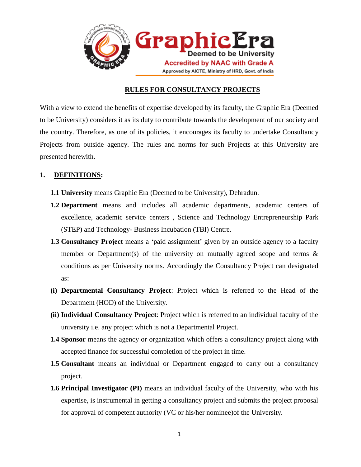

## **RULES FOR CONSULTANCY PROJECTS**

With a view to extend the benefits of expertise developed by its faculty, the Graphic Era (Deemed to be University) considers it as its duty to contribute towards the development of our society and the country. Therefore, as one of its policies, it encourages its faculty to undertake Consultancy Projects from outside agency. The rules and norms for such Projects at this University are presented herewith.

# **1. DEFINITIONS:**

- **1.1 University** means Graphic Era (Deemed to be University), Dehradun.
- **1.2 Department** means and includes all academic departments, academic centers of excellence, academic service centers , Science and Technology Entrepreneurship Park (STEP) and Technology- Business Incubation (TBI) Centre.
- **1.3 Consultancy Project** means a 'paid assignment' given by an outside agency to a faculty member or Department(s) of the university on mutually agreed scope and terms  $\&$ conditions as per University norms. Accordingly the Consultancy Project can designated as:
- **(i) Departmental Consultancy Project**: Project which is referred to the Head of the Department (HOD) of the University.
- **(ii) Individual Consultancy Project**: Project which is referred to an individual faculty of the university i.e. any project which is not a Departmental Project.
- **1.4 Sponsor** means the agency or organization which offers a consultancy project along with accepted finance for successful completion of the project in time.
- **1.5 Consultant** means an individual or Department engaged to carry out a consultancy project.
- **1.6 Principal Investigator (PI)** means an individual faculty of the University, who with his expertise, is instrumental in getting a consultancy project and submits the project proposal for approval of competent authority (VC or his/her nominee)of the University.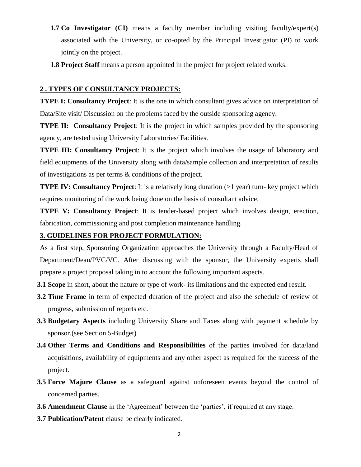- **1.7** Co Investigator (CI) means a faculty member including visiting faculty/expert(s) associated with the University, or co-opted by the Principal Investigator (PI) to work jointly on the project.
- **1.8 Project Staff** means a person appointed in the project for project related works.

## **2 . TYPES OF CONSULTANCY PROJECTS:**

**TYPE I: Consultancy Project**: It is the one in which consultant gives advice on interpretation of Data/Site visit/ Discussion on the problems faced by the outside sponsoring agency.

**TYPE II: Consultancy Project:** It is the project in which samples provided by the sponsoring agency, are tested using University Laboratories/ Facilities.

**TYPE III: Consultancy Project:** It is the project which involves the usage of laboratory and field equipments of the University along with data/sample collection and interpretation of results of investigations as per terms & conditions of the project.

**TYPE IV: Consultancy Project:** It is a relatively long duration (>1 year) turn- key project which requires monitoring of the work being done on the basis of consultant advice.

**TYPE V: Consultancy Project**: It is tender-based project which involves design, erection, fabrication, commissioning and post completion maintenance handling.

## **3. GUIDELINES FOR PROJECT FORMULATION:**

As a first step, Sponsoring Organization approaches the University through a Faculty/Head of Department/Dean/PVC/VC. After discussing with the sponsor, the University experts shall prepare a project proposal taking in to account the following important aspects.

- **3.1 Scope** in short, about the nature or type of work- its limitations and the expected end result.
- **3.2 Time Frame** in term of expected duration of the project and also the schedule of review of progress, submission of reports etc.
- **3.3 Budgetary Aspects** including University Share and Taxes along with payment schedule by sponsor.(see Section 5-Budget)
- **3.4 Other Terms and Conditions and Responsibilities** of the parties involved for data/land acquisitions, availability of equipments and any other aspect as required for the success of the project.
- **3.5 Force Majure Clause** as a safeguard against unforeseen events beyond the control of concerned parties.
- **3.6 Amendment Clause** in the 'Agreement' between the 'parties', if required at any stage.
- **3.7 Publication/Patent** clause be clearly indicated.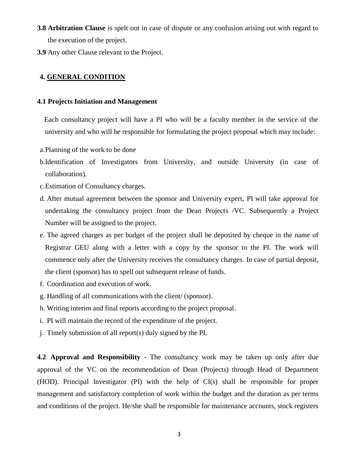- **3.8 Arbitration Clause** is spelt out in case of dispute or any confusion arising out with regard to the execution of the project.
- **3.9** Any other Clause relevant to the Project.

#### **4. GENERAL CONDITION**

#### **4.1 Projects Initiation and Management**

 Each consultancy project will have a PI who will be a faculty member in the service of the university and who will be responsible for formulating the project proposal which may include:

- a.Planning of the work to be done
- b.Identification of Investigators from University, and outside University (in case of collaboration).
- c.Estimation of Consultancy charges.
- d. After mutual agreement between the sponsor and University expert, PI will take approval for undertaking the consultancy project from the Dean Projects /VC. Subsequently a Project Number will be assigned to the project.
- e. The agreed charges as per budget of the project shall be deposited by cheque in the name of Registrar GEU along with a letter with a copy by the sponsor to the PI. The work will commence only after the University receives the consultancy charges. In case of partial deposit, the client (sponsor) has to spell out subsequent release of funds.
- f. Coordination and execution of work.
- g. Handling of all communications with the client/ (sponsor).
- h. Writing interim and final reports according to the project proposal.
- i. PI will maintain the record of the expenditure of the project.
- j. Timely submission of all report(s) duly signed by the PI.

**4.2 Approval and Responsibility** - The consultancy work may be taken up only after due approval of the VC on the recommendation of Dean (Projects) through Head of Department (HOD). Principal Investigator (PI) with the help of CI(s) shall be responsible for proper management and satisfactory completion of work within the budget and the duration as per terms and conditions of the project. He/she shall be responsible for maintenance accounts, stock registers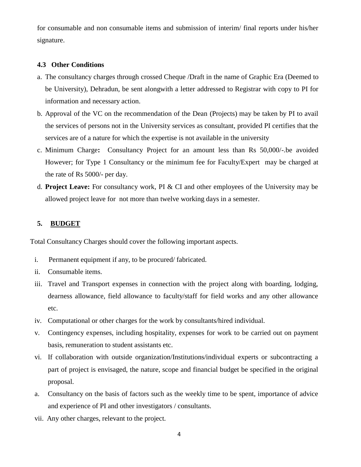for consumable and non consumable items and submission of interim/ final reports under his/her signature.

## **4.3 Other Conditions**

- a. The consultancy charges through crossed Cheque /Draft in the name of Graphic Era (Deemed to be University), Dehradun, be sent alongwith a letter addressed to Registrar with copy to PI for information and necessary action.
- b. Approval of the VC on the recommendation of the Dean (Projects) may be taken by PI to avail the services of persons not in the University services as consultant, provided PI certifies that the services are of a nature for which the expertise is not available in the university
- c. Minimum Charge**:** Consultancy Project for an amount less than Rs 50,000/-.be avoided However; for Type 1 Consultancy or the minimum fee for Faculty/Expert may be charged at the rate of Rs 5000/- per day.
- d. **Project Leave:** For consultancy work, PI & CI and other employees of the University may be allowed project leave for not more than twelve working days in a semester.

## **5. BUDGET**

Total Consultancy Charges should cover the following important aspects.

- i. Permanent equipment if any, to be procured/ fabricated.
- ii. Consumable items.
- iii. Travel and Transport expenses in connection with the project along with boarding, lodging, dearness allowance, field allowance to faculty/staff for field works and any other allowance etc.
- iv. Computational or other charges for the work by consultants/hired individual.
- v. Contingency expenses, including hospitality, expenses for work to be carried out on payment basis, remuneration to student assistants etc.
- vi. If collaboration with outside organization/Institutions/individual experts or subcontracting a part of project is envisaged, the nature, scope and financial budget be specified in the original proposal.
- a. Consultancy on the basis of factors such as the weekly time to be spent, importance of advice and experience of PI and other investigators / consultants.
- vii. Any other charges, relevant to the project.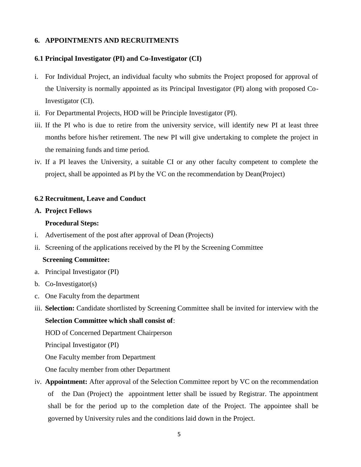## **6. APPOINTMENTS AND RECRUITMENTS**

## **6.1 Principal Investigator (PI) and Co-Investigator (CI)**

- i. For Individual Project, an individual faculty who submits the Project proposed for approval of the University is normally appointed as its Principal Investigator (PI) along with proposed Co-Investigator (CI).
- ii. For Departmental Projects, HOD will be Principle Investigator (PI).
- iii. If the PI who is due to retire from the university service, will identify new PI at least three months before his/her retirement. The new PI will give undertaking to complete the project in the remaining funds and time period.
- iv. If a PI leaves the University, a suitable CI or any other faculty competent to complete the project, shall be appointed as PI by the VC on the recommendation by Dean(Project)

#### **6.2 Recruitment, Leave and Conduct**

#### **A. Project Fellows**

#### **Procedural Steps:**

- i. Advertisement of the post after approval of Dean (Projects)
- ii. Screening of the applications received by the PI by the Screening Committee

#### **Screening Committee:**

- a. Principal Investigator (PI)
- b. Co-Investigator(s)
- c. One Faculty from the department
- iii. **Selection:** Candidate shortlisted by Screening Committee shall be invited for interview with the **Selection Committee which shall consist of**:

HOD of Concerned Department Chairperson

Principal Investigator (PI)

One Faculty member from Department

One faculty member from other Department

iv. **Appointment:** After approval of the Selection Committee report by VC on the recommendation of the Dan (Project) the appointment letter shall be issued by Registrar. The appointment shall be for the period up to the completion date of the Project. The appointee shall be governed by University rules and the conditions laid down in the Project.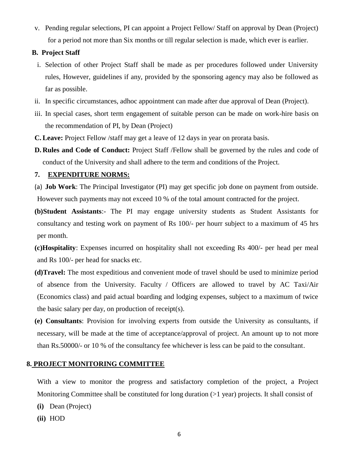v. Pending regular selections, PI can appoint a Project Fellow/ Staff on approval by Dean (Project) for a period not more than Six months or till regular selection is made, which ever is earlier.

## **B. Project Staff**

- i. Selection of other Project Staff shall be made as per procedures followed under University rules, However, guidelines if any, provided by the sponsoring agency may also be followed as far as possible.
- ii. In specific circumstances, adhoc appointment can made after due approval of Dean (Project).
- iii. In special cases, short term engagement of suitable person can be made on work-hire basis on the recommendation of PI, by Dean (Project)
- **C.Leave:** Project Fellow /staff may get a leave of 12 days in year on prorata basis.
- **D. Rules and Code of Conduct:** Project Staff /Fellow shall be governed by the rules and code of conduct of the University and shall adhere to the term and conditions of the Project.

## **7. EXPENDITURE NORMS:**

- (a) **Job Work**: The Principal Investigator (PI) may get specific job done on payment from outside. However such payments may not exceed 10 % of the total amount contracted for the project.
- **(b)Student Assistants**:- The PI may engage university students as Student Assistants for consultancy and testing work on payment of Rs 100/- per hourr subject to a maximum of 45 hrs per month.
- **(c)Hospitality**: Expenses incurred on hospitality shall not exceeding Rs 400/- per head per meal and Rs 100/- per head for snacks etc.
- **(d)Travel:** The most expeditious and convenient mode of travel should be used to minimize period of absence from the University. Faculty / Officers are allowed to travel by AC Taxi/Air (Economics class) and paid actual boarding and lodging expenses, subject to a maximum of twice the basic salary per day, on production of receipt(s).
- **(e) Consultants**: Provision for involving experts from outside the University as consultants, if necessary, will be made at the time of acceptance/approval of project. An amount up to not more than Rs.50000/- or 10 % of the consultancy fee whichever is less can be paid to the consultant.

## **8. PROJECT MONITORING COMMITTEE**

With a view to monitor the progress and satisfactory completion of the project, a Project Monitoring Committee shall be constituted for long duration  $(>1 \text{ year})$  projects. It shall consist of

- **(i)** Dean (Project)
- **(ii)** HOD